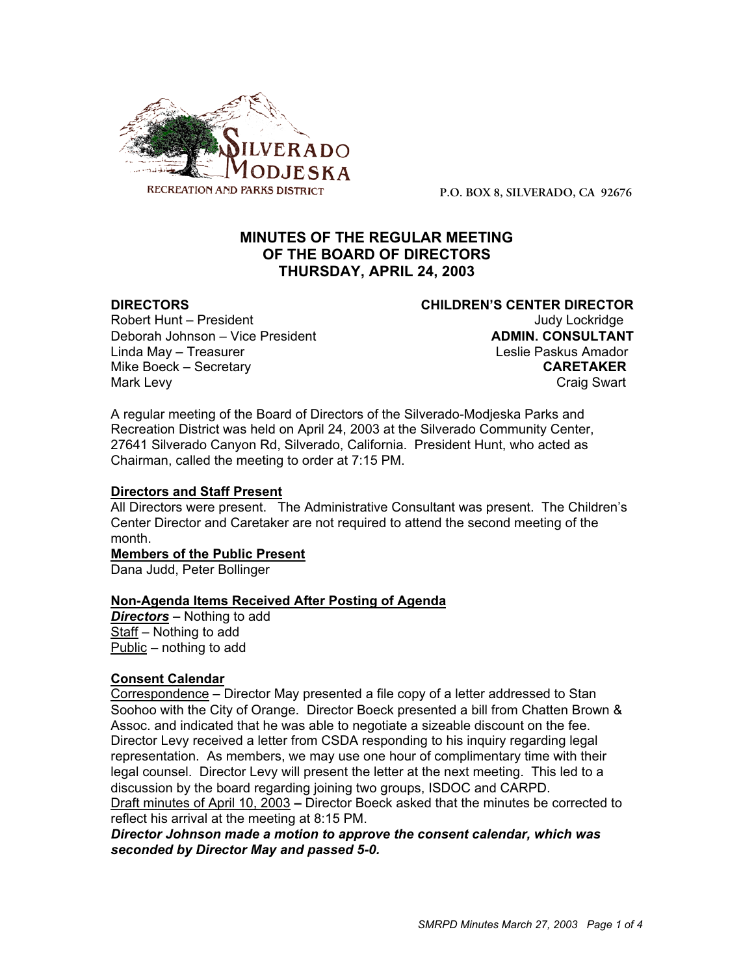

**P.O. BOX 8, SILVERADO, CA 92676**

# **MINUTES OF THE REGULAR MEETING OF THE BOARD OF DIRECTORS THURSDAY, APRIL 24, 2003**

Robert Hunt – President Judy Lockridge Deborah Johnson – Vice President **ADMIN. CONSULTANT** Linda May – Treasurer Leslie Paskus Amador Mike Boeck – Secretary **CARETAKER** Mark Levy **Craig Swart** 

**DIRECTORS CHILDREN'S CENTER DIRECTOR**

A regular meeting of the Board of Directors of the Silverado-Modjeska Parks and Recreation District was held on April 24, 2003 at the Silverado Community Center, 27641 Silverado Canyon Rd, Silverado, California. President Hunt, who acted as Chairman, called the meeting to order at 7:15 PM.

# **Directors and Staff Present**

All Directors were present. The Administrative Consultant was present. The Children's Center Director and Caretaker are not required to attend the second meeting of the month.

### **Members of the Public Present**

Dana Judd, Peter Bollinger

### **Non-Agenda Items Received After Posting of Agenda**

*Directors –* Nothing to add Staff – Nothing to add Public – nothing to add

# **Consent Calendar**

Correspondence – Director May presented a file copy of a letter addressed to Stan Soohoo with the City of Orange. Director Boeck presented a bill from Chatten Brown & Assoc. and indicated that he was able to negotiate a sizeable discount on the fee. Director Levy received a letter from CSDA responding to his inquiry regarding legal representation. As members, we may use one hour of complimentary time with their legal counsel. Director Levy will present the letter at the next meeting. This led to a discussion by the board regarding joining two groups, ISDOC and CARPD. Draft minutes of April 10, 2003 *–* Director Boeck asked that the minutes be corrected to reflect his arrival at the meeting at 8:15 PM.

*Director Johnson made a motion to approve the consent calendar, which was seconded by Director May and passed 5-0.*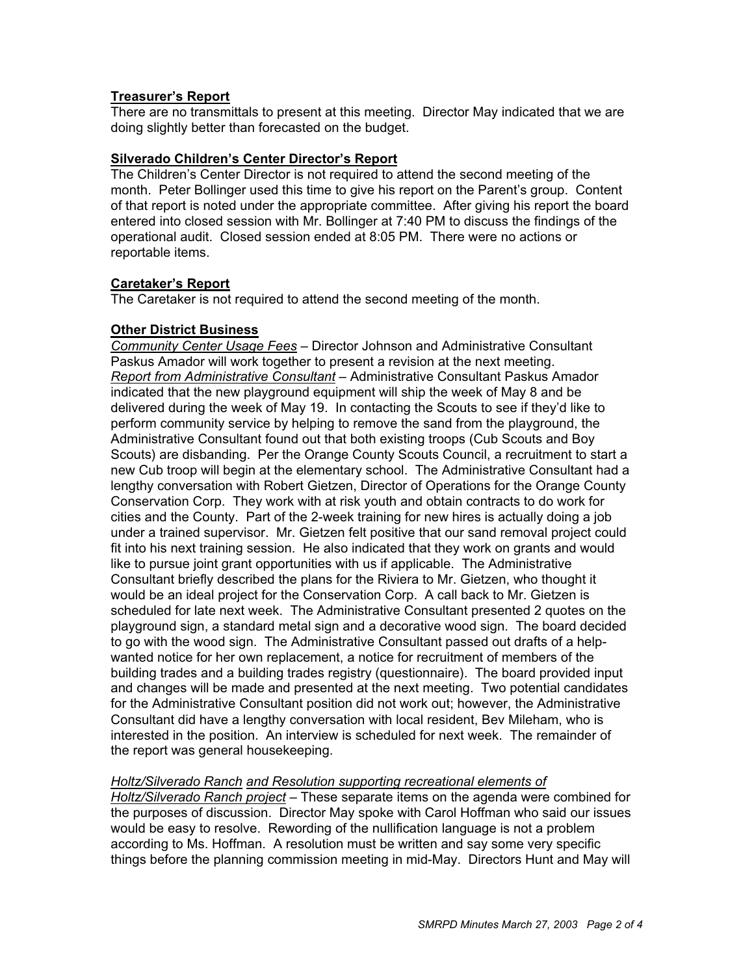# **Treasurer's Report**

There are no transmittals to present at this meeting. Director May indicated that we are doing slightly better than forecasted on the budget.

## **Silverado Children's Center Director's Report**

The Children's Center Director is not required to attend the second meeting of the month. Peter Bollinger used this time to give his report on the Parent's group. Content of that report is noted under the appropriate committee. After giving his report the board entered into closed session with Mr. Bollinger at 7:40 PM to discuss the findings of the operational audit. Closed session ended at 8:05 PM. There were no actions or reportable items.

# **Caretaker's Report**

The Caretaker is not required to attend the second meeting of the month.

# **Other District Business**

*Community Center Usage Fees* – Director Johnson and Administrative Consultant Paskus Amador will work together to present a revision at the next meeting. *Report from Administrative Consultant* – Administrative Consultant Paskus Amador indicated that the new playground equipment will ship the week of May 8 and be delivered during the week of May 19. In contacting the Scouts to see if they'd like to perform community service by helping to remove the sand from the playground, the Administrative Consultant found out that both existing troops (Cub Scouts and Boy Scouts) are disbanding. Per the Orange County Scouts Council, a recruitment to start a new Cub troop will begin at the elementary school. The Administrative Consultant had a lengthy conversation with Robert Gietzen, Director of Operations for the Orange County Conservation Corp. They work with at risk youth and obtain contracts to do work for cities and the County. Part of the 2-week training for new hires is actually doing a job under a trained supervisor. Mr. Gietzen felt positive that our sand removal project could fit into his next training session. He also indicated that they work on grants and would like to pursue joint grant opportunities with us if applicable. The Administrative Consultant briefly described the plans for the Riviera to Mr. Gietzen, who thought it would be an ideal project for the Conservation Corp. A call back to Mr. Gietzen is scheduled for late next week. The Administrative Consultant presented 2 quotes on the playground sign, a standard metal sign and a decorative wood sign. The board decided to go with the wood sign. The Administrative Consultant passed out drafts of a helpwanted notice for her own replacement, a notice for recruitment of members of the building trades and a building trades registry (questionnaire). The board provided input and changes will be made and presented at the next meeting. Two potential candidates for the Administrative Consultant position did not work out; however, the Administrative Consultant did have a lengthy conversation with local resident, Bev Mileham, who is interested in the position. An interview is scheduled for next week. The remainder of the report was general housekeeping.

*Holtz/Silverado Ranch and Resolution supporting recreational elements of*

*Holtz/Silverado Ranch project* – These separate items on the agenda were combined for the purposes of discussion. Director May spoke with Carol Hoffman who said our issues would be easy to resolve. Rewording of the nullification language is not a problem according to Ms. Hoffman. A resolution must be written and say some very specific things before the planning commission meeting in mid-May. Directors Hunt and May will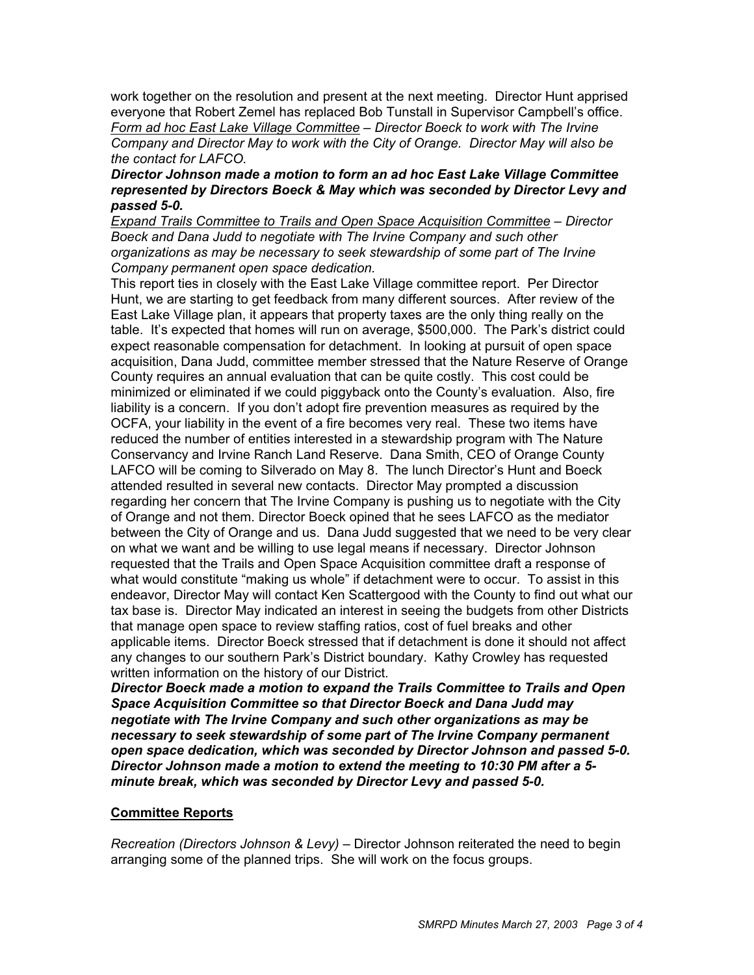work together on the resolution and present at the next meeting. Director Hunt apprised everyone that Robert Zemel has replaced Bob Tunstall in Supervisor Campbell's office. *Form ad hoc East Lake Village Committee – Director Boeck to work with The Irvine Company and Director May to work with the City of Orange. Director May will also be the contact for LAFCO.*

### *Director Johnson made a motion to form an ad hoc East Lake Village Committee represented by Directors Boeck & May which was seconded by Director Levy and passed 5-0.*

*Expand Trails Committee to Trails and Open Space Acquisition Committee – Director Boeck and Dana Judd to negotiate with The Irvine Company and such other organizations as may be necessary to seek stewardship of some part of The Irvine Company permanent open space dedication.*

This report ties in closely with the East Lake Village committee report. Per Director Hunt, we are starting to get feedback from many different sources. After review of the East Lake Village plan, it appears that property taxes are the only thing really on the table. It's expected that homes will run on average, \$500,000. The Park's district could expect reasonable compensation for detachment. In looking at pursuit of open space acquisition, Dana Judd, committee member stressed that the Nature Reserve of Orange County requires an annual evaluation that can be quite costly. This cost could be minimized or eliminated if we could piggyback onto the County's evaluation. Also, fire liability is a concern. If you don't adopt fire prevention measures as required by the OCFA, your liability in the event of a fire becomes very real. These two items have reduced the number of entities interested in a stewardship program with The Nature Conservancy and Irvine Ranch Land Reserve. Dana Smith, CEO of Orange County LAFCO will be coming to Silverado on May 8. The lunch Director's Hunt and Boeck attended resulted in several new contacts. Director May prompted a discussion regarding her concern that The Irvine Company is pushing us to negotiate with the City of Orange and not them. Director Boeck opined that he sees LAFCO as the mediator between the City of Orange and us. Dana Judd suggested that we need to be very clear on what we want and be willing to use legal means if necessary. Director Johnson requested that the Trails and Open Space Acquisition committee draft a response of what would constitute "making us whole" if detachment were to occur. To assist in this endeavor, Director May will contact Ken Scattergood with the County to find out what our tax base is. Director May indicated an interest in seeing the budgets from other Districts that manage open space to review staffing ratios, cost of fuel breaks and other applicable items. Director Boeck stressed that if detachment is done it should not affect any changes to our southern Park's District boundary. Kathy Crowley has requested written information on the history of our District.

*Director Boeck made a motion to expand the Trails Committee to Trails and Open Space Acquisition Committee so that Director Boeck and Dana Judd may negotiate with The Irvine Company and such other organizations as may be necessary to seek stewardship of some part of The Irvine Company permanent open space dedication, which was seconded by Director Johnson and passed 5-0. Director Johnson made a motion to extend the meeting to 10:30 PM after a 5 minute break, which was seconded by Director Levy and passed 5-0.*

### **Committee Reports**

*Recreation (Directors Johnson & Levy)* – Director Johnson reiterated the need to begin arranging some of the planned trips. She will work on the focus groups.